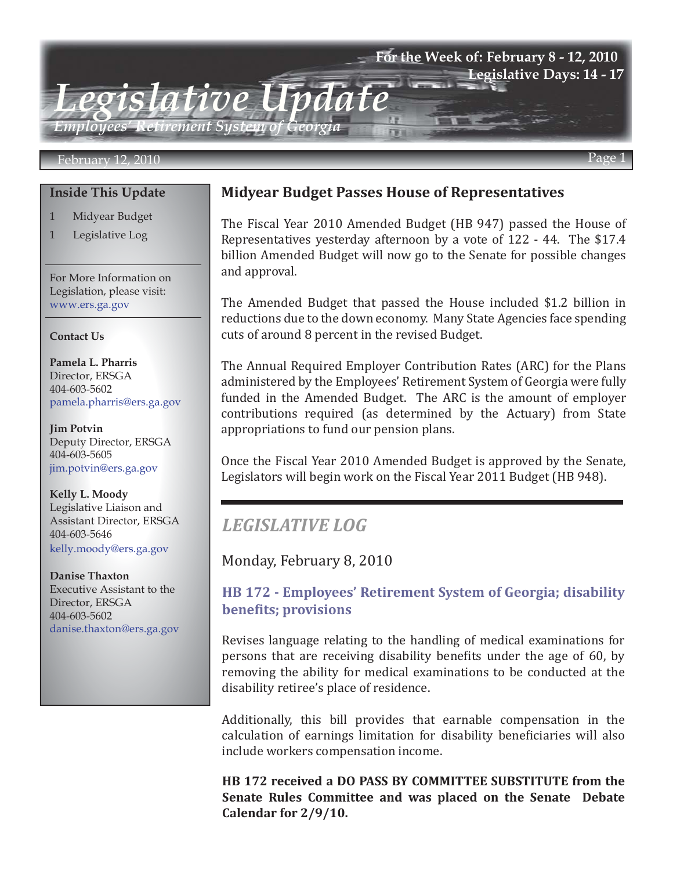#### **For the Week of: February 8 - 12, 2010 Legislative Days: 14 - 17**

*Legislative Update Employees' Retirement System of Georgia*

#### February 12, 2010 Page 1

#### **Inside This Update**

- 1 Midyear Budget
- 1 Legislative Log

For More Information on Legislation, please visit: www.ers.ga.gov

#### **Contact Us**

**Pamela L. Pharris** Director, ERSGA 404-603-5602 pamela.pharris@ers.ga.gov

**Jim Potvin** Deputy Director, ERSGA 404-603-5605 jim.potvin@ers.ga.gov

**Kelly L. Moody** Legislative Liaison and Assistant Director, ERSGA 404-603-5646 kelly.moody@ers.ga.gov

**Danise Thaxton** Executive Assistant to the Director, ERSGA 404-603-5602 danise.thaxton@ers.ga.gov

#### **Midyear Budget Passes House of Representatives**

The Fiscal Year 2010 Amended Budget ([HB 947](http://www.legis.ga.gov/legis/2009_10/sum/hb947.htm)) passed the House of Representatives yesterday afternoon by a vote of 122 - 44. The \$17.4 billion Amended Budget will now go to the Senate for possible changes and approval.

The Amended Budget that passed the House included \$1.2 billion in reductions due to the down economy. Many State Agencies face spending cuts of around 8 percent in the revised Budget.

The Annual Required Employer Contribution Rates (ARC) for the Plans administered by the Employees' Retirement System of Georgia were fully funded in the Amended Budget. The ARC is the amount of employer contributions required (as determined by the Actuary) from State appropriations to fund our pension plans.

Once the Fiscal Year 2010 Amended Budget is approved by the Senate, Legislators will begin work on the Fiscal Year 2011 Budget [\(HB 948](http://www.legis.ga.gov/legis/2009_10/sum/hb948.htm)).

# *LEGISLATIVE LOG*

I

Monday, February 8, 2010

## **[HB 172 - Employees' Retirement System of Georgia; disability](http://www.legis.ga.gov/legis/2009_10/sum/hb172.htm)  benefits; provisions**

Revises language relating to the handling of medical examinations for persons that are receiving disability benefits under the age of 60, by removing the ability for medical examinations to be conducted at the disability retiree's place of residence.

Additionally, this bill provides that earnable compensation in the calculation of earnings limitation for disability beneficiaries will also include workers compensation income.

**HB 172 received a DO PASS BY COMMITTEE SUBSTITUTE from the Senate Rules Committee and was placed on the Senate Debate Calendar for 2/9/10.**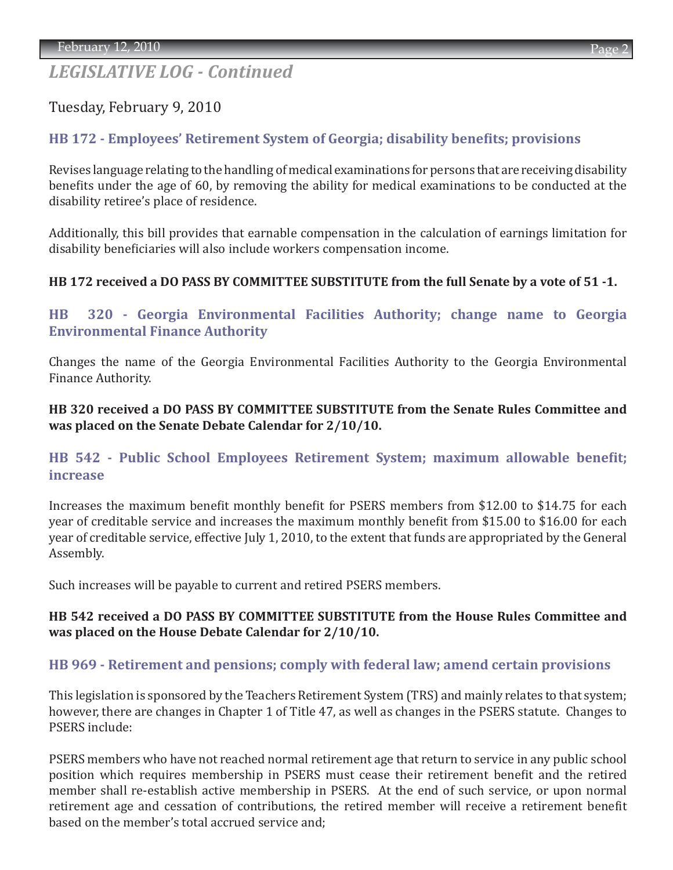Tuesday, February 9, 2010

# **[HB 172 - Employees' Retirement System of Georgia; disability benefits; provisions](http://www.legis.ga.gov/legis/2009_10/sum/hb172.htm)**

Revises language relating to the handling of medical examinations for persons that are receiving disability benefits under the age of 60, by removing the ability for medical examinations to be conducted at the disability retiree's place of residence.

Additionally, this bill provides that earnable compensation in the calculation of earnings limitation for disability beneficiaries will also include workers compensation income.

### **HB 172 received a DO PASS BY COMMITTEE SUBSTITUTE from the full Senate by a vote of 51 -1.**

# **[HB 320 - Georgia Environmental Facilities Authority; change name to Georgia](http://www.legis.ga.gov/legis/2009_10/sum/hb320.htm)  Environmental Finance Authority**

Changes the name of the Georgia Environmental Facilities Authority to the Georgia Environmental Finance Authority.

**HB 320 received a DO PASS BY COMMITTEE SUBSTITUTE from the Senate Rules Committee and was placed on the Senate Debate Calendar for 2/10/10.**

# **[HB 542 - Public School Employees Retirement System; maximum allowable benefit;](http://www.legis.ga.gov/legis/2009_10/sum/hb542.htm)  increase**

Increases the maximum benefit monthly benefit for PSERS members from \$12.00 to \$14.75 for each year of creditable service and increases the maximum monthly benefit from \$15.00 to \$16.00 for each year of creditable service, effective July 1, 2010, to the extent that funds are appropriated by the General Assembly.

Such increases will be payable to current and retired PSERS members.

### **HB 542 received a DO PASS BY COMMITTEE SUBSTITUTE from the House Rules Committee and was placed on the House Debate Calendar for 2/10/10.**

# **[HB 969 - Retirement and pensions; comply with federal law; amend certain provisions](http://www.legis.ga.gov/legis/2009_10/sum/hb969.htm)**

This legislation is sponsored by the Teachers Retirement System (TRS) and mainly relates to that system; however, there are changes in Chapter 1 of Title 47, as well as changes in the PSERS statute. Changes to PSERS include:

PSERS members who have not reached normal retirement age that return to service in any public school position which requires membership in PSERS must cease their retirement benefit and the retired member shall re-establish active membership in PSERS. At the end of such service, or upon normal retirement age and cessation of contributions, the retired member will receive a retirement benefit based on the member's total accrued service and;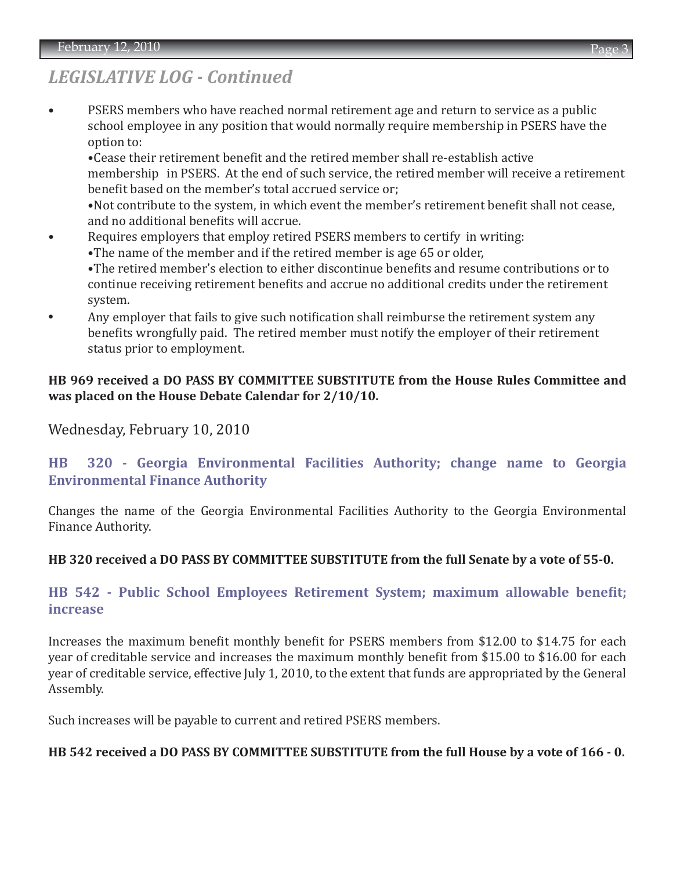• PSERS members who have reached normal retirement age and return to service as a public school employee in any position that would normally require membership in PSERS have the option to:

 •Cease their retirement benefit and the retired member shall re-establish active membership in PSERS. At the end of such service, the retired member will receive a retirement benefit based on the member's total accrued service or;

 •Not contribute to the system, in which event the member's retirement benefit shall not cease, and no additional benefits will accrue.

- Requires employers that employ retired PSERS members to certify in writing: •The name of the member and if the retired member is age 65 or older, •The retired member's election to either discontinue benefits and resume contributions or to continue receiving retirement benefits and accrue no additional credits under the retirement
- system. **•** Any employer that fails to give such notification shall reimburse the retirement system any benefits wrongfully paid. The retired member must notify the employer of their retirement status prior to employment.

#### **HB 969 received a DO PASS BY COMMITTEE SUBSTITUTE from the House Rules Committee and was placed on the House Debate Calendar for 2/10/10.**

Wednesday, February 10, 2010

# **[HB 320 - Georgia Environmental Facilities Authority; change name to Georgia](http://www.legis.ga.gov/legis/2009_10/sum/hb320.htm) Environmental Finance Authority**

Changes the name of the Georgia Environmental Facilities Authority to the Georgia Environmental Finance Authority.

### **HB 320 received a DO PASS BY COMMITTEE SUBSTITUTE from the full Senate by a vote of 55-0.**

## **[HB 542 - Public School Employees Retirement System; maximum allowable benefit;](http://www.legis.ga.gov/legis/2009_10/sum/hb542.htm) increase**

Increases the maximum benefit monthly benefit for PSERS members from \$12.00 to \$14.75 for each year of creditable service and increases the maximum monthly benefit from \$15.00 to \$16.00 for each year of creditable service, effective July 1, 2010, to the extent that funds are appropriated by the General Assembly.

Such increases will be payable to current and retired PSERS members.

#### **HB 542 received a DO PASS BY COMMITTEE SUBSTITUTE from the full House by a vote of 166 - 0.**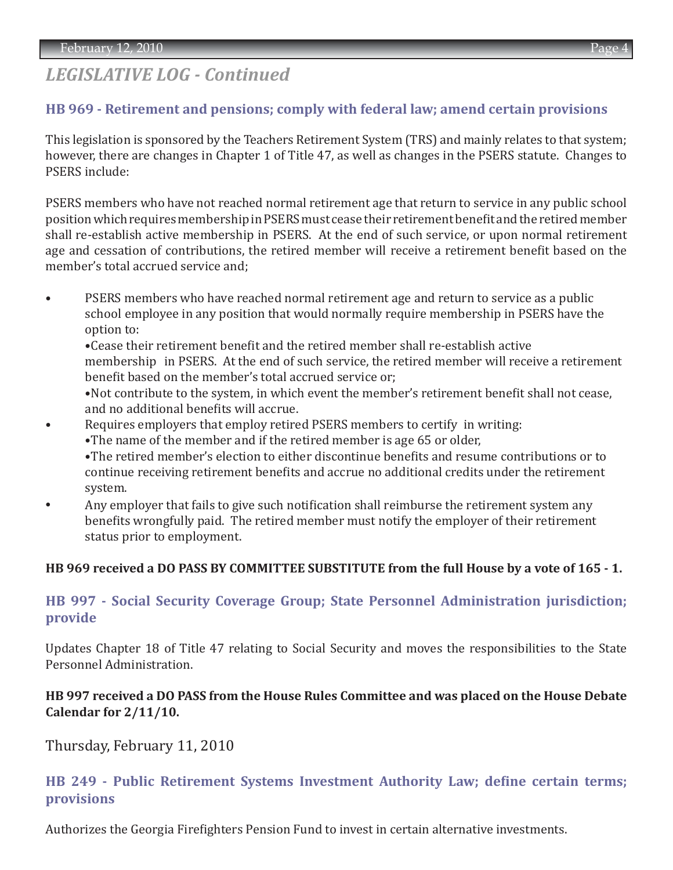### **[HB 969 - Retirement and pensions; comply with federal law; amend certain provisions](http://www.legis.ga.gov/legis/2009_10/sum/hb969.htm)**

This legislation is sponsored by the Teachers Retirement System (TRS) and mainly relates to that system; however, there are changes in Chapter 1 of Title 47, as well as changes in the PSERS statute. Changes to PSERS include:

PSERS members who have not reached normal retirement age that return to service in any public school position which requires membership in PSERS must cease their retirement benefit and the retired member shall re-establish active membership in PSERS. At the end of such service, or upon normal retirement age and cessation of contributions, the retired member will receive a retirement benefit based on the member's total accrued service and;

• PSERS members who have reached normal retirement age and return to service as a public school employee in any position that would normally require membership in PSERS have the option to:

 •Cease their retirement benefit and the retired member shall re-establish active membership in PSERS. At the end of such service, the retired member will receive a retirement benefit based on the member's total accrued service or;

 •Not contribute to the system, in which event the member's retirement benefit shall not cease, and no additional benefits will accrue.

- Requires employers that employ retired PSERS members to certify in writing:
	- •The name of the member and if the retired member is age 65 or older,

 •The retired member's election to either discontinue benefits and resume contributions or to continue receiving retirement benefits and accrue no additional credits under the retirement system.

**•** Any employer that fails to give such notification shall reimburse the retirement system any benefits wrongfully paid. The retired member must notify the employer of their retirement status prior to employment.

### **HB 969 received a DO PASS BY COMMITTEE SUBSTITUTE from the full House by a vote of 165 - 1.**

## **[HB 997 - Social Security Coverage Group; State Personnel Administration jurisdiction;](http://www.legis.ga.gov/legis/2009_10/sum/hb997.htm)  provide**

Updates Chapter 18 of Title 47 relating to Social Security and moves the responsibilities to the State Personnel Administration.

#### **HB 997 received a DO PASS from the House Rules Committee and was placed on the House Debate Calendar for 2/11/10.**

Thursday, February 11, 2010

## **[HB 249 - Public Retirement Systems Investment Authority Law; define certain terms;](http://www.legis.ga.gov/legis/2009_10/sum/hb249.htm)  provisions**

Authorizes the Georgia Firefighters Pension Fund to invest in certain alternative investments.